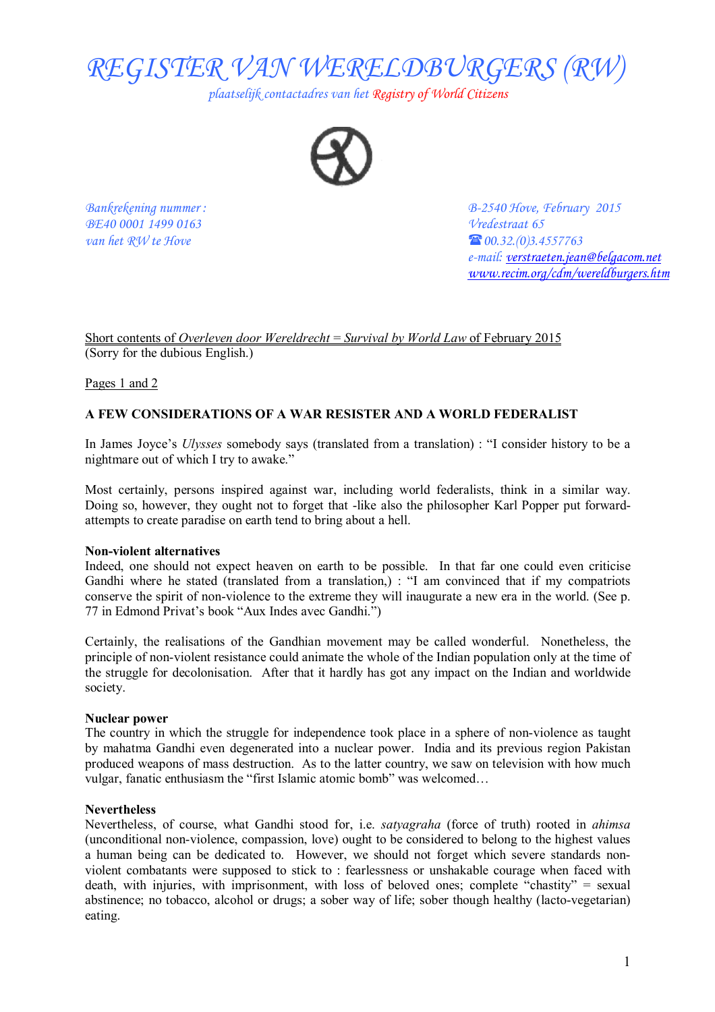

*plaatselijk contactadres van het Registry of World Citizens* 



*BE40 0001 1499 0163 Vredestraat 65 van het RW te Hove*  $\bullet$  **60.32.(0)3.4557763** 

*Bankrekening nummer : B-2540 Hove, February 2015 e-mail: [verstraeten.jean@belgacom.net](mailto:verstraeten.jean@belgacom.net) [www.recim.org/cdm/wereldburgers.htm](http://www.recim.org/cdm/wereldburgers.htm)*

Short contents of *Overleven door Wereldrecht* = *Survival by World Law* of February 2015 (Sorry for the dubious English.)

Pages 1 and 2

# **A FEW CONSIDERATIONS OF A WAR RESISTER AND A WORLD FEDERALIST**

In James Joyce's *Ulysses* somebody says (translated from a translation) : "I consider history to be a nightmare out of which I try to awake."

Most certainly, persons inspired against war, including world federalists, think in a similar way. Doing so, however, they ought not to forget that -like also the philosopher Karl Popper put forwardattempts to create paradise on earth tend to bring about a hell.

#### **Non-violent alternatives**

Indeed, one should not expect heaven on earth to be possible. In that far one could even criticise Gandhi where he stated (translated from a translation,) : "I am convinced that if my compatriots conserve the spirit of non-violence to the extreme they will inaugurate a new era in the world. (See p. 77 in Edmond Privat's book "Aux Indes avec Gandhi.")

Certainly, the realisations of the Gandhian movement may be called wonderful. Nonetheless, the principle of non-violent resistance could animate the whole of the Indian population only at the time of the struggle for decolonisation. After that it hardly has got any impact on the Indian and worldwide society.

#### **Nuclear power**

The country in which the struggle for independence took place in a sphere of non-violence as taught by mahatma Gandhi even degenerated into a nuclear power. India and its previous region Pakistan produced weapons of mass destruction. As to the latter country, we saw on television with how much vulgar, fanatic enthusiasm the "first Islamic atomic bomb" was welcomed…

#### **Nevertheless**

Nevertheless, of course, what Gandhi stood for, i.e. *satyagraha* (force of truth) rooted in *ahimsa* (unconditional non-violence, compassion, love) ought to be considered to belong to the highest values a human being can be dedicated to. However, we should not forget which severe standards nonviolent combatants were supposed to stick to : fearlessness or unshakable courage when faced with death, with injuries, with imprisonment, with loss of beloved ones; complete "chastity" = sexual abstinence; no tobacco, alcohol or drugs; a sober way of life; sober though healthy (lacto-vegetarian) eating.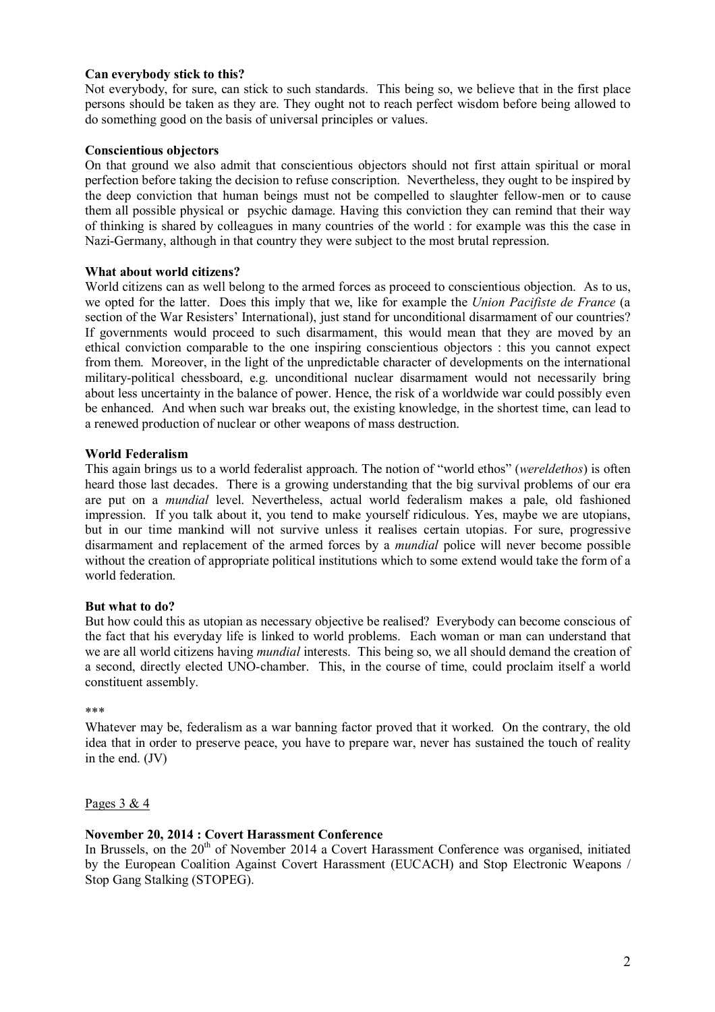# **Can everybody stick to this?**

Not everybody, for sure, can stick to such standards. This being so, we believe that in the first place persons should be taken as they are. They ought not to reach perfect wisdom before being allowed to do something good on the basis of universal principles or values.

# **Conscientious objectors**

On that ground we also admit that conscientious objectors should not first attain spiritual or moral perfection before taking the decision to refuse conscription. Nevertheless, they ought to be inspired by the deep conviction that human beings must not be compelled to slaughter fellow-men or to cause them all possible physical or psychic damage. Having this conviction they can remind that their way of thinking is shared by colleagues in many countries of the world : for example was this the case in Nazi-Germany, although in that country they were subject to the most brutal repression.

# **What about world citizens?**

World citizens can as well belong to the armed forces as proceed to conscientious objection. As to us, we opted for the latter. Does this imply that we, like for example the *Union Pacifiste de France* (a section of the War Resisters' International), just stand for unconditional disarmament of our countries? If governments would proceed to such disarmament, this would mean that they are moved by an ethical conviction comparable to the one inspiring conscientious objectors : this you cannot expect from them. Moreover, in the light of the unpredictable character of developments on the international military-political chessboard, e.g. unconditional nuclear disarmament would not necessarily bring about less uncertainty in the balance of power. Hence, the risk of a worldwide war could possibly even be enhanced. And when such war breaks out, the existing knowledge, in the shortest time, can lead to a renewed production of nuclear or other weapons of mass destruction.

# **World Federalism**

This again brings us to a world federalist approach. The notion of "world ethos" (*wereldethos*) is often heard those last decades. There is a growing understanding that the big survival problems of our era are put on a *mundial* level. Nevertheless, actual world federalism makes a pale, old fashioned impression. If you talk about it, you tend to make yourself ridiculous. Yes, maybe we are utopians, but in our time mankind will not survive unless it realises certain utopias. For sure, progressive disarmament and replacement of the armed forces by a *mundial* police will never become possible without the creation of appropriate political institutions which to some extend would take the form of a world federation.

# **But what to do?**

But how could this as utopian as necessary objective be realised? Everybody can become conscious of the fact that his everyday life is linked to world problems. Each woman or man can understand that we are all world citizens having *mundial* interests. This being so, we all should demand the creation of a second, directly elected UNO-chamber. This, in the course of time, could proclaim itself a world constituent assembly.

#### \*\*\*

Whatever may be, federalism as a war banning factor proved that it worked. On the contrary, the old idea that in order to preserve peace, you have to prepare war, never has sustained the touch of reality in the end. (JV)

Pages  $3 & 4$ 

# **November 20, 2014 : Covert Harassment Conference**

In Brussels, on the  $20<sup>th</sup>$  of November 2014 a Covert Harassment Conference was organised, initiated by the European Coalition Against Covert Harassment (EUCACH) and Stop Electronic Weapons / Stop Gang Stalking (STOPEG).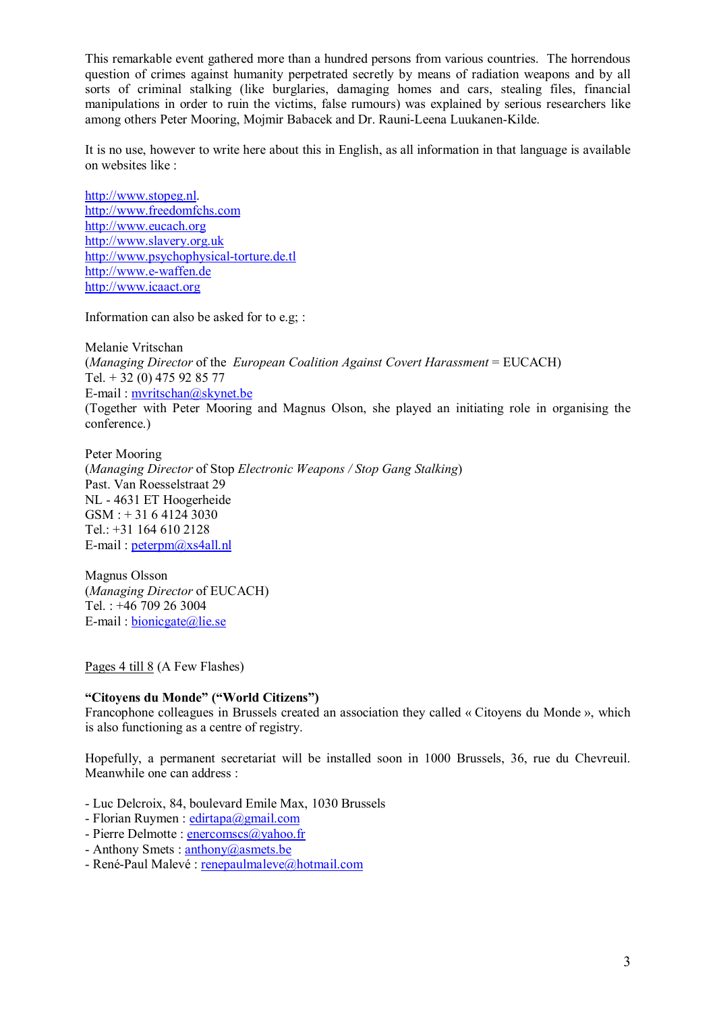This remarkable event gathered more than a hundred persons from various countries. The horrendous question of crimes against humanity perpetrated secretly by means of radiation weapons and by all sorts of criminal stalking (like burglaries, damaging homes and cars, stealing files, financial manipulations in order to ruin the victims, false rumours) was explained by serious researchers like among others Peter Mooring, Mojmir Babacek and Dr. Rauni-Leena Luukanen-Kilde.

It is no use, however to write here about this in English, as all information in that language is available on websites like :

<http://www.stopeg.nl>. <http://www.freedomfchs.com> <http://www.eucach.org> <http://www.slavery.org.uk> <http://www.psychophysical-torture.de.tl> <http://www.e-waffen.de> <http://www.icaact.org>

Information can also be asked for to e.g; :

Melanie Vritschan (*Managing Director* of the *European Coalition Against Covert Harassment* = EUCACH) Tel. + 32 (0) 475 92 85 77 E-mail : [mvritschan@skynet.be](mailto:mvritschan@skynet.be) (Together with Peter Mooring and Magnus Olson, she played an initiating role in organising the conference.)

Peter Mooring (*Managing Director* of Stop *Electronic Weapons / Stop Gang Stalking*) Past. Van Roesselstraat 29 NL - 4631 ET Hoogerheide GSM : + 31 6 4124 3030 Tel.: +31 164 610 2128 E-mail : [peterpm@xs4all.nl](mailto:peterpm@xs4all.nl) 

Magnus Olsson (*Managing Director* of EUCACH) Tel. : +46 709 26 3004 E-mail : [bionicgate@lie.se](mailto:bionicgate@lie.se) 

Pages 4 till 8 (A Few Flashes)

# **"Citoyens du Monde" ("World Citizens")**

Francophone colleagues in Brussels created an association they called « Citoyens du Monde », which is also functioning as a centre of registry.

Hopefully, a permanent secretariat will be installed soon in 1000 Brussels, 36, rue du Chevreuil. Meanwhile one can address :

- Luc Delcroix, 84, boulevard Emile Max, 1030 Brussels

- Florian Ruymen : [edirtapa@gmail.com](mailto:edirtapa@gmail.com)

- Pierre Delmotte : [enercomscs@yahoo.fr](mailto:enercomscs@yahoo.fr)

- Anthony Smets : [anthony@asmets.be](mailto:anthony@asmets.be)
- René-Paul Malevé : [renepaulmaleve@hotmail.com](mailto:renepaulmaleve@hotmail.com)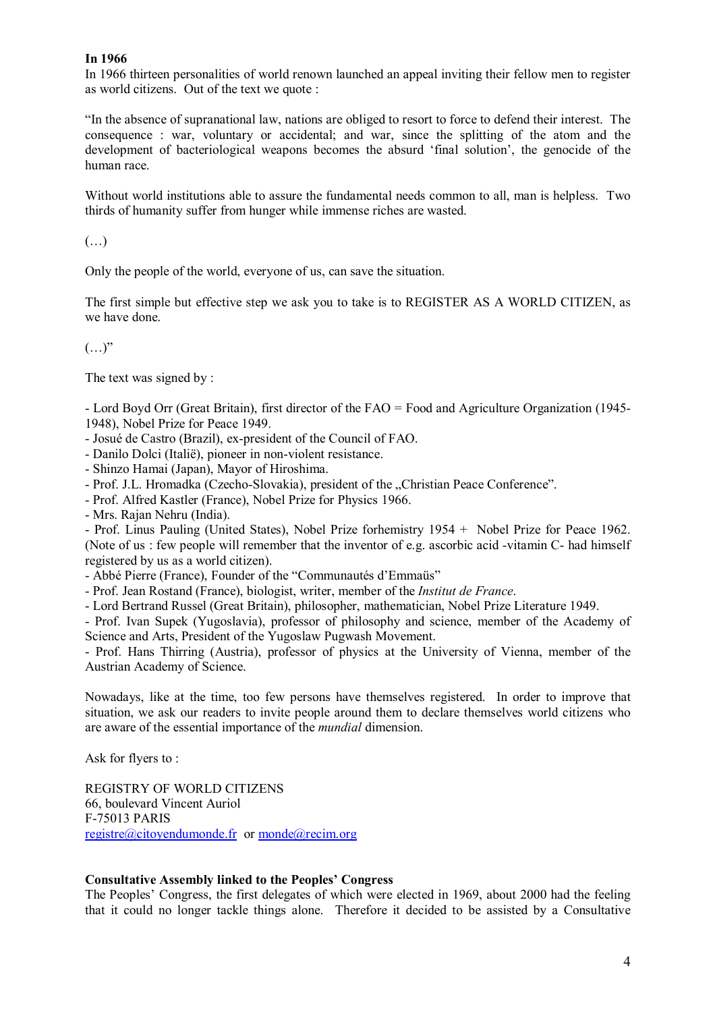# **In 1966**

In 1966 thirteen personalities of world renown launched an appeal inviting their fellow men to register as world citizens. Out of the text we quote :

"In the absence of supranational law, nations are obliged to resort to force to defend their interest. The consequence : war, voluntary or accidental; and war, since the splitting of the atom and the development of bacteriological weapons becomes the absurd 'final solution', the genocide of the human race.

Without world institutions able to assure the fundamental needs common to all, man is helpless. Two thirds of humanity suffer from hunger while immense riches are wasted.

 $\left(\ldots\right)$ 

Only the people of the world, everyone of us, can save the situation.

The first simple but effective step we ask you to take is to REGISTER AS A WORLD CITIZEN, as we have done.

 $(\ldots)$ "

The text was signed by :

- Lord Boyd Orr (Great Britain), first director of the FAO = Food and Agriculture Organization (1945- 1948), Nobel Prize for Peace 1949.

- Josué de Castro (Brazil), ex-president of the Council of FAO.
- Danilo Dolci (Italië), pioneer in non-violent resistance.
- Shinzo Hamai (Japan), Mayor of Hiroshima.
- Prof. J.L. Hromadka (Czecho-Slovakia), president of the "Christian Peace Conference".

- Prof. Alfred Kastler (France), Nobel Prize for Physics 1966.

- Mrs. Rajan Nehru (India).

- Prof. Linus Pauling (United States), Nobel Prize forhemistry 1954 + Nobel Prize for Peace 1962. (Note of us : few people will remember that the inventor of e.g. ascorbic acid -vitamin C- had himself registered by us as a world citizen).

- Abbé Pierre (France), Founder of the "Communautés d'Emmaüs"

- Prof. Jean Rostand (France), biologist, writer, member of the *Institut de France*.

- Lord Bertrand Russel (Great Britain), philosopher, mathematician, Nobel Prize Literature 1949.

- Prof. Ivan Supek (Yugoslavia), professor of philosophy and science, member of the Academy of Science and Arts, President of the Yugoslaw Pugwash Movement.

- Prof. Hans Thirring (Austria), professor of physics at the University of Vienna, member of the Austrian Academy of Science.

Nowadays, like at the time, too few persons have themselves registered. In order to improve that situation, we ask our readers to invite people around them to declare themselves world citizens who are aware of the essential importance of the *mundial* dimension.

Ask for flyers to :

REGISTRY OF WORLD CITIZENS 66, boulevard Vincent Auriol F-75013 PARIS [registre@citoyendumonde.fr](mailto:registre@citoyendumonde.fr) or [monde@recim.org](mailto:monde@recim.org)

# **Consultative Assembly linked to the Peoples' Congress**

The Peoples' Congress, the first delegates of which were elected in 1969, about 2000 had the feeling that it could no longer tackle things alone. Therefore it decided to be assisted by a Consultative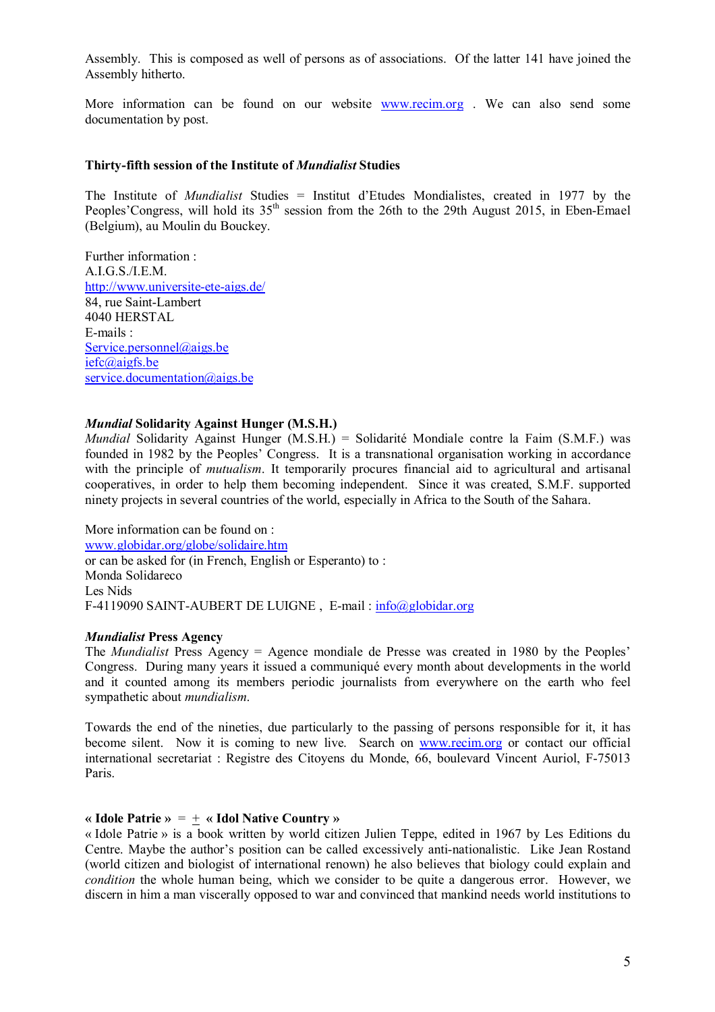Assembly. This is composed as well of persons as of associations. Of the latter 141 have joined the Assembly hitherto.

More information can be found on our website [www.recim.org](http://www.recim.org) . We can also send some documentation by post.

#### **Thirty-fifth session of the Institute of** *Mundialist* **Studies**

The Institute of *Mundialist* Studies = Institut d'Etudes Mondialistes, created in 1977 by the Peoples' Congress, will hold its 35<sup>th</sup> session from the 26th to the 29th August 2015, in Eben-Emael (Belgium), au Moulin du Bouckey.

Further information : A.I.G.S./I.E.M. <http://www.universite-ete-aigs.de/> 84, rue Saint-Lambert 4040 HERSTAL E-mails : [Service.personnel@aigs.be](mailto:Service.personnel@aigs.be) [iefc@aigfs.be](mailto:iefc@aigfs.be)  service.documentation@aigs.be

### *Mundial* **Solidarity Against Hunger (M.S.H.)**

*Mundial* Solidarity Against Hunger (M.S.H.) = Solidarité Mondiale contre la Faim (S.M.F.) was founded in 1982 by the Peoples' Congress. It is a transnational organisation working in accordance with the principle of *mutualism*. It temporarily procures financial aid to agricultural and artisanal cooperatives, in order to help them becoming independent. Since it was created, S.M.F. supported ninety projects in several countries of the world, especially in Africa to the South of the Sahara.

More information can be found on : [www.globidar.org/globe/solidaire.htm](http://www.globidar.org/globe/solidaire.htm) or can be asked for (in French, English or Esperanto) to : Monda Solidareco Les Nids F-4119090 SAINT-AUBERT DE LUIGNE , E-mail : [info@globidar.org](mailto:info@globidar.org)

### *Mundialist* **Press Agency**

The *Mundialist* Press Agency = Agence mondiale de Presse was created in 1980 by the Peoples' Congress. During many years it issued a communiqué every month about developments in the world and it counted among its members periodic journalists from everywhere on the earth who feel sympathetic about *mundialism*.

Towards the end of the nineties, due particularly to the passing of persons responsible for it, it has become silent. Now it is coming to new live. Search on [www.recim.org](http://www.recim.org) or contact our official international secretariat : Registre des Citoyens du Monde, 66, boulevard Vincent Auriol, F-75013 Paris.

#### **« Idole Patrie »** = + **« Idol Native Country »**

« Idole Patrie » is a book written by world citizen Julien Teppe, edited in 1967 by Les Editions du Centre. Maybe the author's position can be called excessively anti-nationalistic. Like Jean Rostand (world citizen and biologist of international renown) he also believes that biology could explain and *condition* the whole human being, which we consider to be quite a dangerous error. However, we discern in him a man viscerally opposed to war and convinced that mankind needs world institutions to